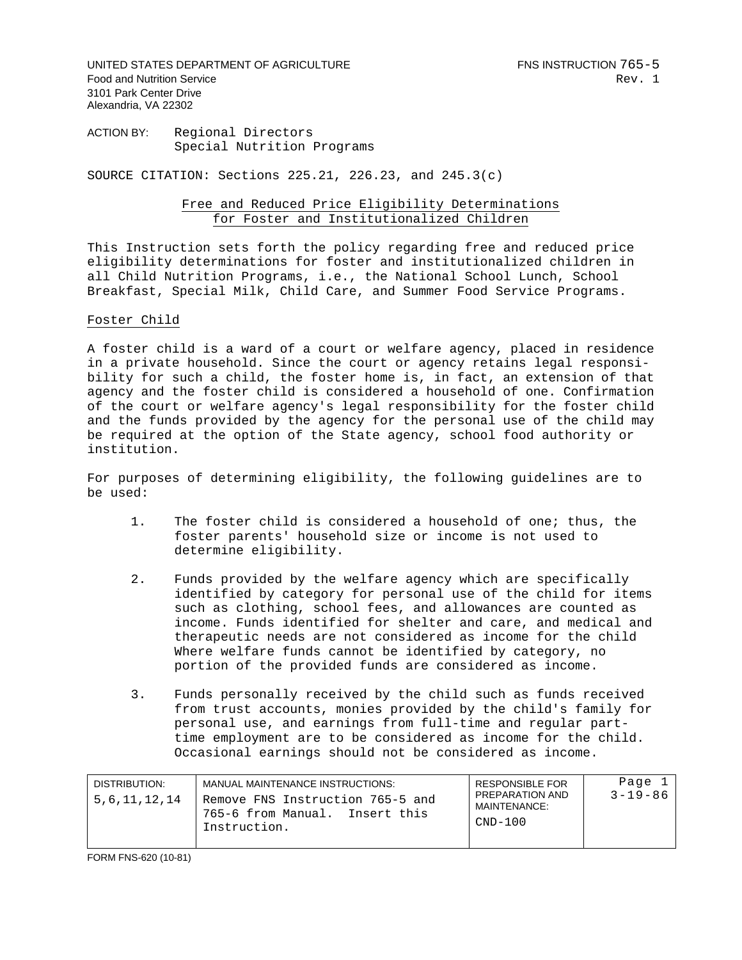UNITED STATES DEPARTMENT OF AGRICULTURE FOR THE RESERVE FOR SINSTRUCTION 765-5 Food and Nutrition Service **Rev.** 1 3101 Park Center Drive Alexandria, VA 22302

ACTION BY: Regional Directors Special Nutrition Programs

SOURCE CITATION: Sections 225.21, 226.23, and 245.3(c)

## Free and Reduced Price Eligibility Determinations for Foster and Institutionalized Children

This Instruction sets forth the policy regarding free and reduced price eligibility determinations for foster and institutionalized children in all Child Nutrition Programs, i.e., the National School Lunch, School Breakfast, Special Milk, Child Care, and Summer Food Service Programs.

## Foster Child

A foster child is a ward of a court or welfare agency, placed in residence in a private household. Since the court or agency retains legal responsibility for such a child, the foster home is, in fact, an extension of that agency and the foster child is considered a household of one. Confirmation of the court or welfare agency's legal responsibility for the foster child and the funds provided by the agency for the personal use of the child may be required at the option of the State agency, school food authority or institution.

For purposes of determining eligibility, the following guidelines are to be used:

- 1. The foster child is considered a household of one; thus, the foster parents' household size or income is not used to determine eligibility.
- 2. Funds provided by the welfare agency which are specifically identified by category for personal use of the child for items such as clothing, school fees, and allowances are counted as income. Funds identified for shelter and care, and medical and therapeutic needs are not considered as income for the child Where welfare funds cannot be identified by category, no portion of the provided funds are considered as income.
- 3. Funds personally received by the child such as funds received from trust accounts, monies provided by the child's family for personal use, and earnings from full-time and regular parttime employment are to be considered as income for the child. Occasional earnings should not be considered as income.

| DISTRIBUTION:    | MANUAL MAINTENANCE INSTRUCTIONS:                                                      | RESPONSIBLE FOR                              | Page 1        |
|------------------|---------------------------------------------------------------------------------------|----------------------------------------------|---------------|
| 5, 6, 11, 12, 14 | Remove FNS Instruction 765-5 and<br>l 765-6 from Manual.  Insert this<br>Instruction. | PREPARATION AND<br>MAINTFNANCF:<br>$CND-100$ | $3 - 19 - 86$ |